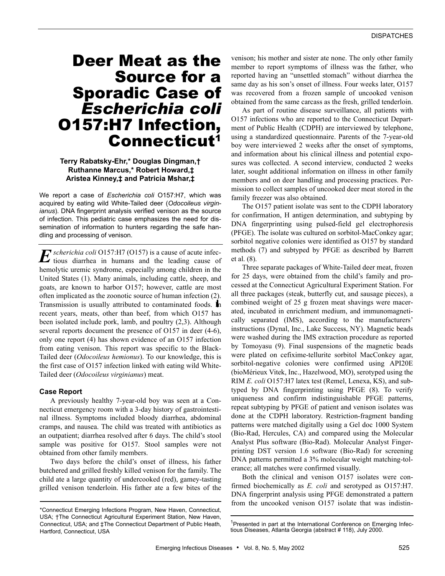# Deer Meat as the Source for a Sporadic Case of *Escherichia coli* O157:H7 Infection, Connecticut1

# **Terry Rabatsky-Ehr,\* Douglas Dingman,† Ruthanne Marcus,\* Robert Howard,‡ Aristea Kinney,‡ and Patricia Mshar,‡**

We report a case of *Escherichia coli* O157:H7, which was acquired by eating wild White-Tailed deer (*Odocoileus virginianus*). DNA fingerprint analysis verified venison as the source of infection. This pediatric case emphasizes the need for dissemination of information to hunters regarding the safe handling and processing of venison.

*scherichia coli* O157:H7 (O157) is a cause of acute infec- $E$  *scherichia coli* O157:H7 (O157) is a cause of acute infectious diarrhea in humans and the leading cause of hemolytic uremic syndrome, especially among children in the United States (1). Many animals, including cattle, sheep, and goats, are known to harbor O157; however, cattle are most often implicated as the zoonotic source of human infection (2). Transmission is usually attributed to contaminated foods. In recent years, meats, other than beef, from which O157 has been isolated include pork, lamb, and poultry (2,3). Although several reports document the presence of O157 in deer  $(4-6)$ , only one report (4) has shown evidence of an O157 infection from eating venison. This report was specific to the Black-Tailed deer (*Odocoileus hemionus*). To our knowledge, this is the first case of O157 infection linked with eating wild White-Tailed deer (*Odocoileus virginianus*) meat.

# **Case Report**

A previously healthy 7-year-old boy was seen at a Connecticut emergency room with a 3-day history of gastrointestinal illness. Symptoms included bloody diarrhea, abdominal cramps, and nausea. The child was treated with antibiotics as an outpatient; diarrhea resolved after 6 days. The child's stool sample was positive for O157. Stool samples were not obtained from other family members.

Two days before the child's onset of illness, his father butchered and grilled freshly killed venison for the family. The child ate a large quantity of undercooked (red), gamey-tasting grilled venison tenderloin. His father ate a few bites of the

venison; his mother and sister ate none. The only other family member to report symptoms of illness was the father, who reported having an "unsettled stomach" without diarrhea the same day as his son's onset of illness. Four weeks later, O157 was recovered from a frozen sample of uncooked venison obtained from the same carcass as the fresh, grilled tenderloin.

As part of routine disease surveillance, all patients with O157 infections who are reported to the Connecticut Department of Public Health (CDPH) are interviewed by telephone, using a standardized questionnaire. Parents of the 7-year-old boy were interviewed 2 weeks after the onset of symptoms, and information about his clinical illness and potential exposures was collected. A second interview, conducted 2 weeks later, sought additional information on illness in other family members and on deer handling and processing practices. Permission to collect samples of uncooked deer meat stored in the family freezer was also obtained.

The O157 patient isolate was sent to the CDPH laboratory for confirmation, H antigen determination, and subtyping by DNA fingerprinting using pulsed-field gel electrophoresis (PFGE). The isolate was cultured on sorbitol-MacConkey agar; sorbitol negative colonies were identified as O157 by standard methods (7) and subtyped by PFGE as described by Barrett et al. (8).

Three separate packages of White-Tailed deer meat, frozen for 25 days, were obtained from the child's family and processed at the Connecticut Agricultural Experiment Station. For all three packages (steak, butterfly cut, and sausage pieces), a combined weight of 25 g frozen meat shavings were macerated, incubated in enrichment medium, and immunomagnetically separated (IMS), according to the manufacturers' instructions (Dynal, Inc., Lake Success, NY). Magnetic beads were washed during the IMS extraction procedure as reported by Tomoyasu (9). Final suspensions of the magnetic beads were plated on cefixime-tellurite sorbitol MacConkey agar, sorbitol-negative colonies were confirmed using API20E (bioMérieux Vitek, Inc., Hazelwood, MO), serotyped using the RIM *E. coli* O157:H7 latex test (Remel, Lenexa, KS), and subtyped by DNA fingerprinting using PFGE (8). To verify uniqueness and confirm indistinguishable PFGE patterns, repeat subtyping by PFGE of patient and venison isolates was done at the CDPH laboratory. Restriction-fragment banding patterns were matched digitally using a Gel doc 1000 System (Bio-Rad, Hercules, CA) and compared using the Molecular Analyst Plus software (Bio-Rad). Molecular Analyst Fingerprinting DST version 1.6 software (Bio-Rad) for screening DNA patterns permitted a 3% molecular weight matching-tolerance; all matches were confirmed visually.

Both the clinical and venison O157 isolates were confirmed biochemically as *E. coli* and serotyped as O157:H7. DNA fingerprint analysis using PFGE demonstrated a pattern from the uncooked venison O157 isolate that was indistin-

<sup>\*</sup>Connecticut Emerging Infections Program, New Haven, Connecticut, USA; †The Connecticut Agricultural Experiment Station, New Haven, Connecticut, USA; and ‡The Connecticut Department of Public Heath, Hartford, Connecticut, USA

<sup>&</sup>lt;sup>1</sup>Presented in part at the International Conference on Emerging Infectious Diseases, Atlanta Georgia (abstract # 118), July 2000.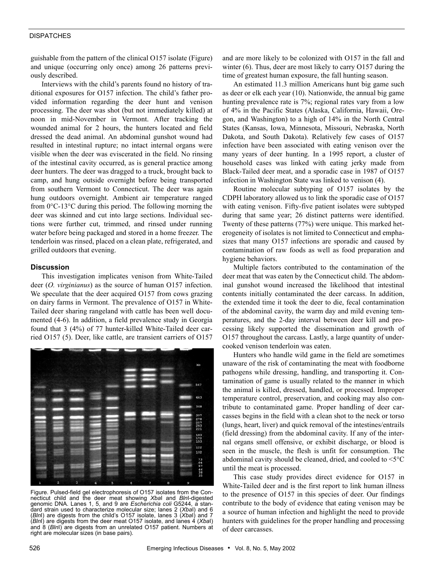# **DISPATCHES**

guishable from the pattern of the clinical O157 isolate (Figure) and unique (occurring only once) among 26 patterns previously described.

Interviews with the child's parents found no history of traditional exposures for O157 infection. The child's father provided information regarding the deer hunt and venison processing. The deer was shot (but not immediately killed) at noon in mid-November in Vermont. After tracking the wounded animal for 2 hours, the hunters located and field dressed the dead animal. An abdominal gunshot wound had resulted in intestinal rupture; no intact internal organs were visible when the deer was eviscerated in the field. No rinsing of the intestinal cavity occurred, as is general practice among deer hunters. The deer was dragged to a truck, brought back to camp, and hung outside overnight before being transported from southern Vermont to Connecticut. The deer was again hung outdoors overnight. Ambient air temperature ranged from 0°C-13°C during this period. The following morning the deer was skinned and cut into large sections. Individual sections were further cut, trimmed, and rinsed under running water before being packaged and stored in a home freezer. The tenderloin was rinsed, placed on a clean plate, refrigerated, and grilled outdoors that evening.

### **Discussion**

This investigation implicates venison from White-Tailed deer (*O. virginianus*) as the source of human O157 infection. We speculate that the deer acquired O157 from cows grazing on dairy farms in Vermont. The prevalence of O157 in White-Tailed deer sharing rangeland with cattle has been well documented (4-6). In addition, a field prevalence study in Georgia found that 3 (4%) of 77 hunter-killed White-Tailed deer carried O157 (5). Deer, like cattle, are transient carriers of O157



Figure. Pulsed-field gel electrophoresis of O157 isolates from the Connecticut child and the deer meat showing *Xba*I and *Bln*I-digested genomic DNA. Lanes 1, 5, and 9 are *Escherichia coli* G5244, a standard strain used to characterize molecular size; lanes 2 (*Xba*I) and 6 (*Bln*I) are digests from the child's O157 isolate, lanes 3 (*Xba*I) and 7 (*Bln*I) are digests from the deer meat O157 isolate, and lanes 4 (*Xba*I) and 8 (*Bln*I) are digests from an unrelated O157 patient. Numbers at right are molecular sizes (in base pairs).

and are more likely to be colonized with O157 in the fall and winter (6). Thus, deer are most likely to carry O157 during the time of greatest human exposure, the fall hunting season.

An estimated 11.3 million Americans hunt big game such as deer or elk each year (10). Nationwide, the annual big game hunting prevalence rate is 7%; regional rates vary from a low of 4% in the Pacific States (Alaska, California, Hawaii, Oregon, and Washington) to a high of 14% in the North Central States (Kansas, Iowa, Minnesota, Missouri, Nebraska, North Dakota, and South Dakota). Relatively few cases of O157 infection have been associated with eating venison over the many years of deer hunting. In a 1995 report, a cluster of household cases was linked with eating jerky made from Black-Tailed deer meat, and a sporadic case in 1987 of O157 infection in Washington State was linked to venison (4).

Routine molecular subtyping of O157 isolates by the CDPH laboratory allowed us to link the sporadic case of O157 with eating venison. Fifty-five patient isolates were subtyped during that same year; 26 distinct patterns were identified. Twenty of these patterns (77%) were unique. This marked heterogeneity of isolates is not limited to Connecticut and emphasizes that many O157 infections are sporadic and caused by contamination of raw foods as well as food preparation and hygiene behaviors.

Multiple factors contributed to the contamination of the deer meat that was eaten by the Connecticut child. The abdominal gunshot wound increased the likelihood that intestinal contents initially contaminated the deer carcass. In addition, the extended time it took the deer to die, fecal contamination of the abdominal cavity, the warm day and mild evening temperatures, and the 2-day interval between deer kill and processing likely supported the dissemination and growth of O157 throughout the carcass. Lastly, a large quantity of undercooked venison tenderloin was eaten.

Hunters who handle wild game in the field are sometimes unaware of the risk of contaminating the meat with foodborne pathogens while dressing, handling, and transporting it. Contamination of game is usually related to the manner in which the animal is killed, dressed, handled, or processed. Improper temperature control, preservation, and cooking may also contribute to contaminated game. Proper handling of deer carcasses begins in the field with a clean shot to the neck or torso (lungs, heart, liver) and quick removal of the intestines/entrails (field dressing) from the abdominal cavity. If any of the internal organs smell offensive, or exhibit discharge, or blood is seen in the muscle, the flesh is unfit for consumption. The abdominal cavity should be cleaned, dried, and cooled to <5°C until the meat is processed.

This case study provides direct evidence for O157 in White-Tailed deer and is the first report to link human illness to the presence of O157 in this species of deer. Our findings contribute to the body of evidence that eating venison may be a source of human infection and highlight the need to provide hunters with guidelines for the proper handling and processing of deer carcasses.